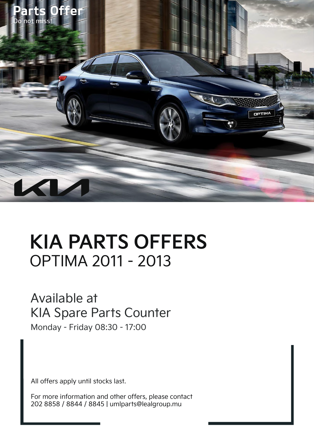

# **KIA PARTS OFFERS** OPTIMA 2011 - 2013

#### Available at KIA Spare Parts Counter

Monday - Friday 08:30 - 17:00

All offers apply until stocks last.

For more information and other offers, please contact 202 8858 / 8844 / 8845 | umlparts@lealgroup.mu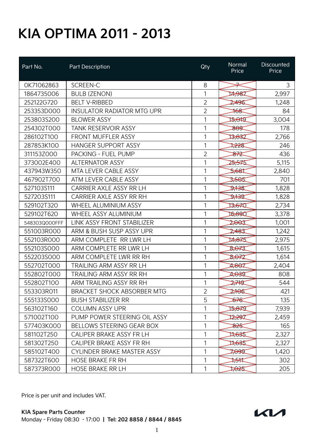| Part No.      | Part Description                  | Qty            | Normal<br>Price | Discounted<br>Price |
|---------------|-----------------------------------|----------------|-----------------|---------------------|
| OK71062863    | SCREEN-C                          | 8              | $\neq$          | 3                   |
| 1864735006    | <b>BULB (ZENON)</b>               | 1              | 14,987          | 2,997               |
| 252122G720    | <b>BELT V-RIBBED</b>              | $\overline{2}$ | 2,496           | 1,248               |
| 253353D000    | <b>INSULATOR RADIATOR MTG UPR</b> | $\overline{2}$ | $*$             | 84                  |
| 253803S200    | <b>BLOWER ASSY</b>                | 1              | 15,010          | 3,004               |
| 254302T000    | <b>TANK RESERVOIR ASSY</b>        | 1              | <del>889</del>  | 178                 |
| 286102T100    | <b>FRONT MUFFLER ASSY</b>         | 1              | 13,832          | 2,766               |
| 287853K100    | <b>HANGER SUPPORT ASSY</b>        | 1              | ⊅≵≵\$           | 246                 |
| 311153Z000    | <b>PACKING - FUEL PUMP</b>        | 2              | ₩               | 436                 |
| 373002E400    | <b>ALTERNATOR ASSY</b>            | 1              | 25,575          | 5,115               |
| 437943W350    | MTA LEVER CABLE ASSY              | 1              | 2681            | 2,840               |
| 467902T700    | ATM LEVER CABLE ASSY              | 1              | 3,565           | 701                 |
| 527103S111    | CARRIER AXLE ASSY RR LH           | 1              | क्षेत्र         | 1,828               |
| 527203S111    | CARRIER AXLE ASSY RR RH           | 1              | के रि           | 1,828               |
| 529102T320    | WHEEL ALUMINIUM ASSY              | 1              | 13,670          | 2,734               |
| 529102T620    | WHEEL ASSY ALUMINIUM              | 1              | 16,890          | 3,378               |
| 548303Q000FFF | LINK ASSY FRONT STABILIZER        | 1              | 2,003           | 1,001               |
| 551003R000    | ARM & BUSH SUSP ASSY UPR          | 1              | 2,483           | 1,242               |
| 552103R000    | ARM COMPLETE RR LWR LH            | 1              | 14,875          | 2,975               |
| 552103S000    | ARM COMPLETE RR LWR LH            | 1              | 8,073           | 1,615               |
| 552203S000    | ARM COMPLETE LWR RR RH            | 1              | 8,072           | 1,614               |
| 552702T000    | <b>TRAILING ARM ASSY RR LH</b>    | 1              | 4,867           | 2,404               |
| 552802T000    | <b>TRAILING ARM ASSY RR RH</b>    | 1              | 1,039           | 808                 |
| 552802T100    | ARM TRAILING ASSY RR RH           | 1              | 2,749           | 544                 |
| 553303R011    | <b>BRACKET SHOCK ABSORBER MTG</b> | $\overline{2}$ | 2706            | 421                 |
| 555133S000    | <b>BUSH STABILIZER RR</b>         | 5              | <del>চ7€</del>  | 135                 |
| 563102T160    | <b>COLUMN ASSY UPR</b>            | 1              | े अर्थ          | 7,939               |
| 571002T100    | PUMP POWER STEERING OIL ASSY      | 1              | 12,297          | 2,459               |
| 577403K000    | <b>BELLOWS STEERING GEAR BOX</b>  | 1              | <del>≱য়</del>  | 165                 |
| 581102T250    | CALIPER BRAKE ASSY FR LH          | 1              | 17,635          | 2,327               |
| 581302T250    | CALIPER BRAKE ASSY FR RH          | 1              | 17,635          | 2,327               |
| 585102T400    | CYLINDER BRAKE MASTER ASSY        | 1              | 7099            | 1,420               |
| 587322T600    | <b>HOSE BRAKE FR RH</b>           | 1              | ₩               | 302                 |
| 587373R000    | <b>HOSE BRAKE RR LH</b>           | 1              | स्रिट           | 205                 |

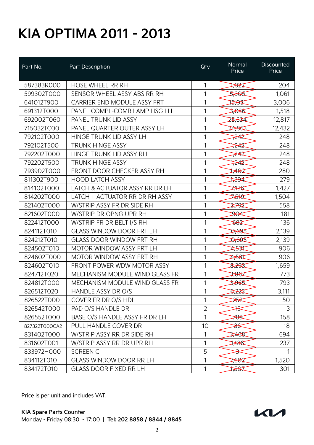| Part No.      | Part Description                | Qty            | Normal<br>Price | Discounted<br>Price |
|---------------|---------------------------------|----------------|-----------------|---------------------|
| 587383R000    | <b>HOSE WHEEL RR RH</b>         | 1              | 7022            | 204                 |
| 599302T000    | SENSOR WHEEL ASSY ABS RR RH     | 1              | 2,365           | 1,061               |
| 641012T900    | CARRIER END MODULE ASSY FRT     | 1              | ⊅क्ष            | 3,006               |
| 691312T000    | PANEL COMPL-COMB LAMP HSG LH    | 1              | 3,036           | 1,518               |
| 692002T060    | PANEL TRUNK LID ASSY            | 1              | 25,634          | 12,817              |
| 715032TC00    | PANEL QUARTER OUTER ASSY LH     | 1              | 24,863          | 12,432              |
| 792102T000    | HINGE TRUNK LID ASSY LH         | 1              | 7242            | 248                 |
| 792102T500    | <b>TRUNK HINGE ASSY</b>         | 1              | 7242            | 248                 |
| 792202T000    | HINGE TRUNK LID ASSY RH         | 1              | 7242            | 248                 |
| 792202T500    | <b>TRUNK HINGE ASSY</b>         | 1              | ≵¥2ੋ            | 248                 |
| 793902T000    | FRONT DOOR CHECKER ASSY RH      | 1              | 1462            | 280                 |
| 811302T900    | <b>HOOD LATCH ASSY</b>          | 1              | 7894            | 279                 |
| 814102T000    | LATCH & ACTUATOR ASSY RR DR LH  | 1              | 7,136           | 1,427               |
| 814202T000    | LATCH + ACTUATOR RR DR RH ASSY  | 1              | ≯∻∜इ            | 1,504               |
| 821402T000    | W/STRIP ASSY FR DR SIDE RH      | 1              | 2792            | 558                 |
| 821602T000    | W/STRIP DR OPNG UPR RH          | 1              | <del>90</del> ⊄ | 181                 |
| 822412T000    | W/STRIP FR DR BELT I/S RH       | 1              | 882             | 136                 |
| 824112T010    | <b>GLASS WINDOW DOOR FRT LH</b> | 1              | 10,695          | 2,139               |
| 824212T010    | <b>GLASS DOOR WINDOW FRT RH</b> | 1              | 10,695          | 2,139               |
| 824502T010    | MOTOR WINDOW ASSY FRT LH        | 1              | ⊅क्री           | 906                 |
| 824602T000    | MOTOR WINDOW ASSY FRT RH        | 1              | ⊅क्री           | 906                 |
| 824602T010    | FRONT POWER WDW MOTOR ASSY      | 1              | 8,293           | 1,659               |
| 824712T020    | MECHANISM MODULE WIND GLASS FR  | 1              | 3,867           | 773                 |
| 824812T000    | MECHANISM MODULE WIND GLASS FR  | 1              | 3,965           | 793                 |
| 826512T020    | HANDLE ASSY DR O/S              | 1              | \$223           | 3,111               |
| 826522T000    | COVER FR DR O/S HDL             | 1              | <del>≫</del>    | 50                  |
| 826542T000    | PAD O/S HANDLE DR               | $\overline{2}$ | ╬               | 3                   |
| 826552T000    | BASE O/S HANDLE ASSY FR DR LH   | 1              | <del>789</del>  | 158                 |
| 827322T000CA2 | PULL HANDLE COVER DR            | 10             | <del>ૐદ</del>   | 18                  |
| 831402T000    | W/STRIP ASSY RR DR SIDE RH      | 1              | 3,468           | 694                 |
| 831602T001    | W/STRIP ASSY RR DR UPR RH       | 1              | 786             | 237                 |
| 833972H000    | <b>SCREEN C</b>                 | 5              | 安               | 1                   |
| 834112T010    | <b>GLASS WINDOW DOOR RR LH</b>  | 1              | 7662            | 1,520               |
| 834172T010    | <b>GLASS DOOR FIXED RR LH</b>   | 1              | 7567            | 301                 |

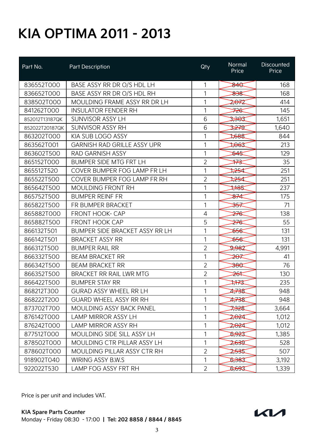| Part No.       | Part Description                   | Qty            | Normal<br>Price  | Discounted<br>Price |
|----------------|------------------------------------|----------------|------------------|---------------------|
| 836552T000     | BASE ASSY RR DR O/S HDL LH         | 1              | <b>SAC</b>       | 168                 |
| 836652T000     | BASE ASSY RR DR O/S HDL RH         | 1              | 838              | 168                 |
| 838502T000     | MOULDING FRAME ASSY RR DR LH       | 1              | 2,072            | 414                 |
| 841262T000     | <b>INSULATOR FENDER RH</b>         | 1              | ⋙                | 145                 |
| 852012T13187QK | SUNVISOR ASSY LH                   | 6              | 2,363            | 1,651               |
| 852022T20187QK | <b>SUNVISOR ASSY RH</b>            | 6              | क्टेन्ट          | 1,640               |
| 863202T000     | KIA SUB LOGO ASSY                  | 1              | 1,688            | 844                 |
| 863562T001     | <b>GARNISH RAD GRILLE ASSY UPR</b> | 1              | स्रिस्ट          | 213                 |
| 863602T500     | <b>RAD GARNISH ASSY</b>            | 1              | 845              | 129                 |
| 865152T000     | <b>BUMPER SIDE MTG FRT LH</b>      | $\overline{2}$ | ₩                | 35                  |
| 865512T520     | COVER BUMPER FOG LAMP FR LH        | 1              | स्टेस्ट          | 251                 |
| 865522T500     | COVER BUMPER FOG LAMP FR RH        | $\overline{2}$ | स्टेस्ट          | 251                 |
| 865642T500     | <b>MOULDING FRONT RH</b>           | 1              | 1,185            | 237                 |
| 865752T500     | <b>BUMPER REINF FR</b>             | 1              | ₩                | 175                 |
| 865822T500     | FR BUMPER BRACKET                  | 1              | <del>ૐ</del>     | 71                  |
| 865882T000     | <b>FRONT HOOK- CAP</b>             | 4              | <del>≵7€</del>   | 138                 |
| 865882T500     | <b>FRONT HOOK CAP</b>              | 5              | <del>27€</del>   | 55                  |
| 866132T501     | BUMPER SIDE BRACKET ASSY RR LH     | 1              | केन्द            | 131                 |
| 866142T501     | <b>BRACKET ASSY RR</b>             | 1              | <del>856</del>   | 131                 |
| 866312T500     | <b>BUMPER RAIL RR</b>              | $\overline{2}$ | 2,982            | 4,991               |
| 866332T500     | <b>BEAM BRACKET RR</b>             | 1              | ₩                | 41                  |
| 866342T500     | <b>BEAM BRACKET RR</b>             | $\overline{2}$ | <del>380</del>   | 76                  |
| 866352T500     | <b>BRACKET RR RAIL LWR MTG</b>     | $\overline{2}$ | ≱ఈ               | 130                 |
| 866422T500     | <b>BUMPER STAY RR</b>              | 1              | ₩                | 235                 |
| 868212T300     | <b>GURAD ASSY WHEEL RR LH</b>      | 1              | 1738             | 948                 |
| 868222T200     | <b>GUARD WHEEL ASSY RR RH</b>      | 1              | 2738             | 948                 |
| 873702T700     | <b>MOULDING ASSY BACK PANEL</b>    | 1              | <del>732</del> 8 | 3,664               |
| 876142T000     | <b>LAMP MIRROR ASSY LH</b>         | 1              | 2,024            | 1,012               |
| 876242T000     | <b>LAMP MIRROR ASSY RH</b>         | 1              | 2,024            | 1,012               |
| 877512T000     | MOULDING SIDE SILL ASSY LH         | 1              | 5,923            | 1,385               |
| 878502T000     | MOULDING CTR PILLAR ASSY LH        | 1              | 2,639            | 528                 |
| 878602T000     | MOULDING PILLAR ASSY CTR RH        | $\overline{2}$ | 2,535            | 507                 |
| 918902T040     | <b>WIRING ASSY B.W.S</b>           | 1              | 5,383            | 3,192               |
| 922022T530     | LAMP FOG ASSY FRT RH               | $\overline{2}$ | 5,693            | 1,339               |